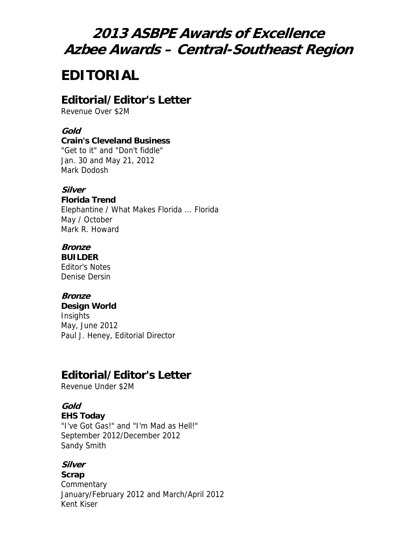# **2013 ASBPE Awards of Excellence Azbee Awards – Central-Southeast Region**

# **EDITORIAL**

# **Editorial/Editor's Letter**

Revenue Over \$2M

#### **Gold**

#### **Crain's Cleveland Business**

"Get to it" and "Don't fiddle" Jan. 30 and May 21, 2012 Mark Dodosh

#### **Silver**

**Florida Trend** Elephantine / What Makes Florida ... Florida May / October Mark R. Howard

# **Bronze**

**BUILDER** Editor's Notes Denise Dersin

### **Bronze**

**Design World Insights** May, June 2012 Paul J. Heney, Editorial Director

# **Editorial/Editor's Letter**

Revenue Under \$2M

# **Gold**

### **EHS Today**

"I've Got Gas!" and "I'm Mad as Hell!" September 2012/December 2012 Sandy Smith

### **Silver**

**Scrap Commentary** January/February 2012 and March/April 2012 Kent Kiser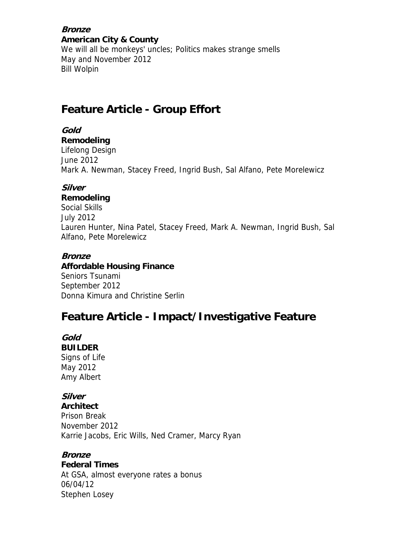**Bronze American City & County**

We will all be monkeys' uncles; Politics makes strange smells May and November 2012 Bill Wolpin

# **Feature Article - Group Effort**

**Gold** 

**Remodeling** Lifelong Design June 2012 Mark A. Newman, Stacey Freed, Ingrid Bush, Sal Alfano, Pete Morelewicz

### **Silver**

### **Remodeling**

Social Skills July 2012 Lauren Hunter, Nina Patel, Stacey Freed, Mark A. Newman, Ingrid Bush, Sal Alfano, Pete Morelewicz

### **Bronze**

**Affordable Housing Finance** Seniors Tsunami September 2012 Donna Kimura and Christine Serlin

# **Feature Article - Impact/Investigative Feature**

**Gold** 

**BUILDER** Signs of Life May 2012 Amy Albert

# **Silver**

**Architect** Prison Break November 2012 Karrie Jacobs, Eric Wills, Ned Cramer, Marcy Ryan

### **Bronze**

**Federal Times**

At GSA, almost everyone rates a bonus 06/04/12 Stephen Losey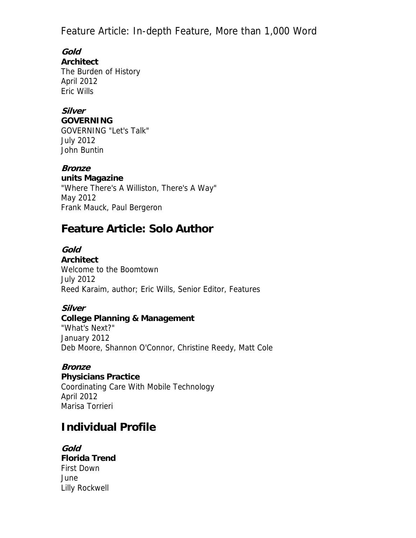Feature Article: In-depth Feature, More than 1,000 Word

**Gold Architect**

The Burden of History April 2012 Eric Wills

### **Silver**

**GOVERNING**

GOVERNING "Let's Talk" July 2012 John Buntin

**Bronze units Magazine**

"Where There's A Williston, There's A Way" May 2012 Frank Mauck, Paul Bergeron

# **Feature Article: Solo Author**

**Gold** 

**Architect** Welcome to the Boomtown July 2012 Reed Karaim, author; Eric Wills, Senior Editor, Features

# **Silver**

### **College Planning & Management**

"What's Next?" January 2012 Deb Moore, Shannon O'Connor, Christine Reedy, Matt Cole

### **Bronze**

**Physicians Practice** Coordinating Care With Mobile Technology April 2012 Marisa Torrieri

# **Individual Profile**

**Gold Florida Trend** First Down June Lilly Rockwell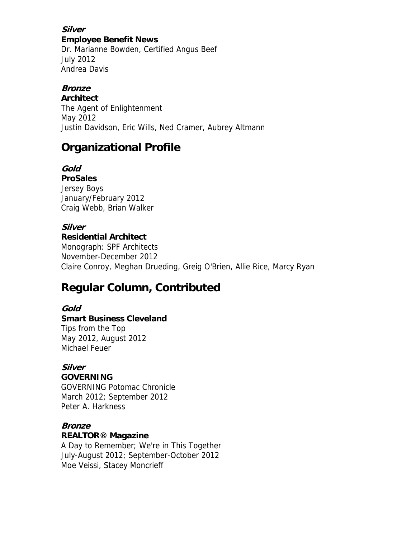**Silver Employee Benefit News**

Dr. Marianne Bowden, Certified Angus Beef July 2012 Andrea Davis

## **Bronze**

**Architect**

The Agent of Enlightenment May 2012 Justin Davidson, Eric Wills, Ned Cramer, Aubrey Altmann

# **Organizational Profile**

**Gold ProSales** Jersey Boys January/February 2012 Craig Webb, Brian Walker

## **Silver**

**Residential Architect** Monograph: SPF Architects November-December 2012 Claire Conroy, Meghan Drueding, Greig O'Brien, Allie Rice, Marcy Ryan

# **Regular Column, Contributed**

### **Gold**

### **Smart Business Cleveland**

Tips from the Top May 2012, August 2012 Michael Feuer

# **Silver**

### **GOVERNING**

GOVERNING Potomac Chronicle March 2012; September 2012 Peter A. Harkness

# **Bronze**

### **REALTOR® Magazine**

A Day to Remember; We're in This Together July-August 2012; September-October 2012 Moe Veissi, Stacey Moncrieff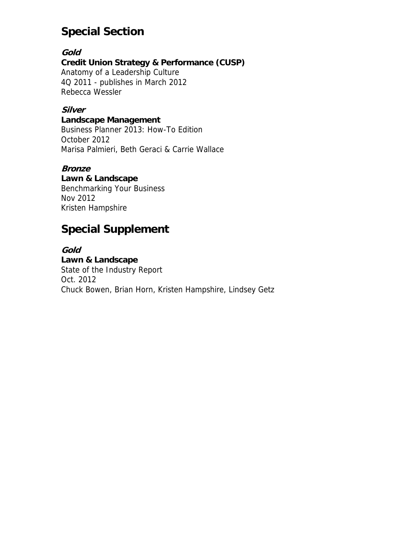# **Special Section**

### **Gold**

### **Credit Union Strategy & Performance (CUSP)**

Anatomy of a Leadership Culture 4Q 2011 - publishes in March 2012 Rebecca Wessler

### **Silver**

#### **Landscape Management**

Business Planner 2013: How-To Edition October 2012 Marisa Palmieri, Beth Geraci & Carrie Wallace

### **Bronze**

# **Lawn & Landscape**

Benchmarking Your Business Nov 2012 Kristen Hampshire

# **Special Supplement**

#### **Gold**

**Lawn & Landscape** State of the Industry Report Oct. 2012 Chuck Bowen, Brian Horn, Kristen Hampshire, Lindsey Getz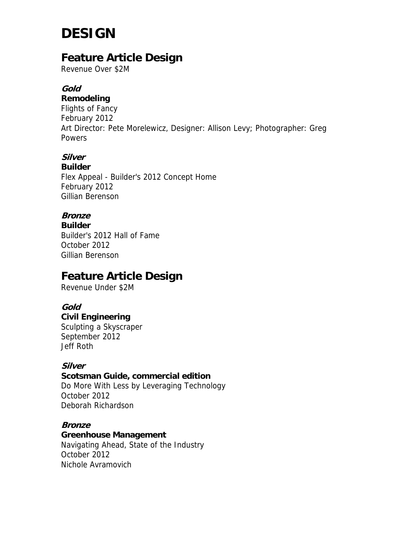# **DESIGN**

# **Feature Article Design**

Revenue Over \$2M

## **Gold**

**Remodeling** Flights of Fancy February 2012 Art Director: Pete Morelewicz, Designer: Allison Levy; Photographer: Greg **Powers** 

# **Silver**

**Builder** Flex Appeal - Builder's 2012 Concept Home February 2012 Gillian Berenson

## **Bronze**

**Builder** Builder's 2012 Hall of Fame October 2012 Gillian Berenson

# **Feature Article Design**

Revenue Under \$2M

### **Gold**

**Civil Engineering** Sculpting a Skyscraper September 2012 Jeff Roth

### **Silver**

**Scotsman Guide, commercial edition**

Do More With Less by Leveraging Technology October 2012 Deborah Richardson

### **Bronze**

**Greenhouse Management** Navigating Ahead, State of the Industry October 2012 Nichole Avramovich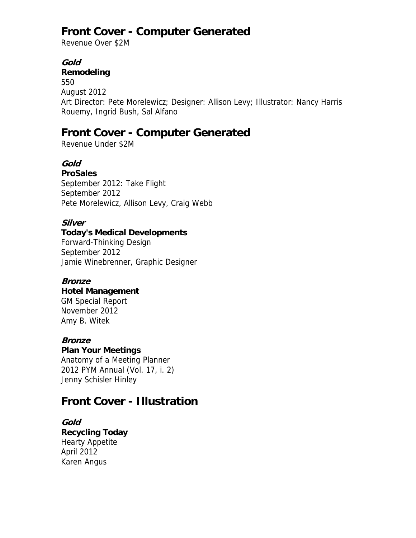# **Front Cover - Computer Generated**

Revenue Over \$2M

### **Gold**

#### **Remodeling**

550 August 2012 Art Director: Pete Morelewicz; Designer: Allison Levy; Illustrator: Nancy Harris Rouemy, Ingrid Bush, Sal Alfano

# **Front Cover - Computer Generated**

Revenue Under \$2M

# **Gold**

**ProSales** September 2012: Take Flight September 2012 Pete Morelewicz, Allison Levy, Craig Webb

### **Silver**

### **Today's Medical Developments**

Forward-Thinking Design September 2012 Jamie Winebrenner, Graphic Designer

### **Bronze**

#### **Hotel Management**

GM Special Report November 2012 Amy B. Witek

### **Bronze**

#### **Plan Your Meetings**

Anatomy of a Meeting Planner 2012 PYM Annual (Vol. 17, i. 2) Jenny Schisler Hinley

# **Front Cover - Illustration**

# **Gold**

**Recycling Today** Hearty Appetite April 2012 Karen Angus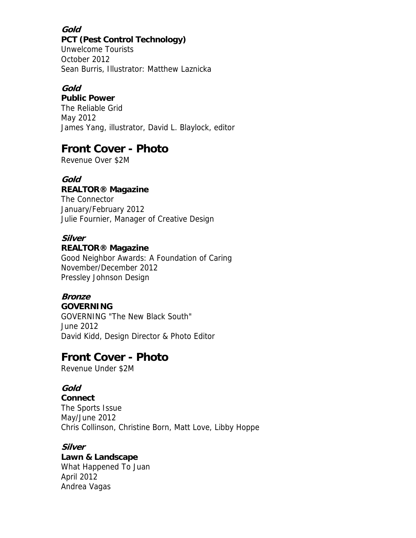### **Gold**

#### **PCT (Pest Control Technology)**

Unwelcome Tourists October 2012 Sean Burris, Illustrator: Matthew Laznicka

#### **Gold**

**Public Power** The Reliable Grid May 2012 James Yang, illustrator, David L. Blaylock, editor

# **Front Cover - Photo**

Revenue Over \$2M

### **Gold**

### **REALTOR® Magazine**

The Connector January/February 2012 Julie Fournier, Manager of Creative Design

### **Silver**

### **REALTOR® Magazine**

Good Neighbor Awards: A Foundation of Caring November/December 2012 Pressley Johnson Design

# **Bronze**

**GOVERNING** GOVERNING "The New Black South" June 2012 David Kidd, Design Director & Photo Editor

# **Front Cover - Photo**

Revenue Under \$2M

### **Gold**

**Connect** The Sports Issue May/June 2012 Chris Collinson, Christine Born, Matt Love, Libby Hoppe

### **Silver**

**Lawn & Landscape** What Happened To Juan April 2012 Andrea Vagas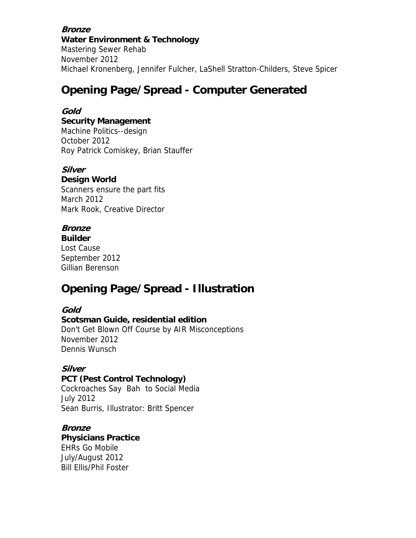#### **Bronze Water Environment & Technology**

Mastering Sewer Rehab November 2012 Michael Kronenberg, Jennifer Fulcher, LaShell Stratton-Childers, Steve Spicer

# **Opening Page/Spread - Computer Generated**

### **Gold**

#### **Security Management**

Machine Politics--design October 2012 Roy Patrick Comiskey, Brian Stauffer

### **Silver**

#### **Design World**

Scanners ensure the part fits March 2012 Mark Rook, Creative Director

# **Bronze**

**Builder** Lost Cause September 2012 Gillian Berenson

# **Opening Page/Spread - Illustration**

### **Gold**

**Scotsman Guide, residential edition** Don't Get Blown Off Course by AIR Misconceptions November 2012 Dennis Wunsch

### **Silver**

**PCT (Pest Control Technology)** Cockroaches Say Bah to Social Media July 2012 Sean Burris, Illustrator: Britt Spencer

# **Bronze**

**Physicians Practice** EHRs Go Mobile July/August 2012 Bill Ellis/Phil Foster